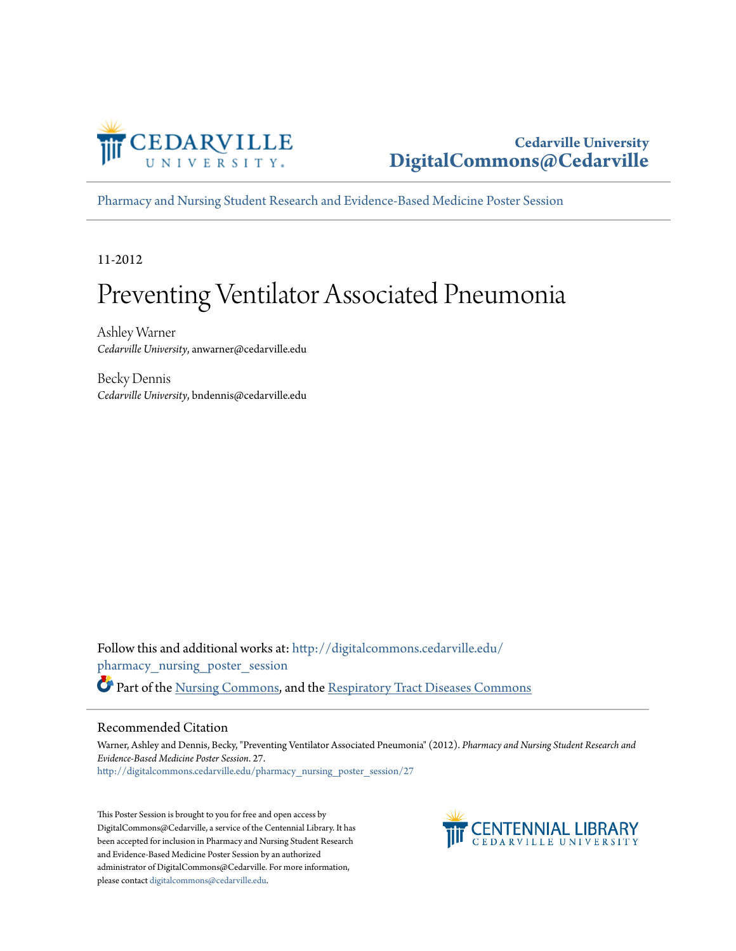

#### **Cedarville University [DigitalCommons@Cedarville](http://digitalcommons.cedarville.edu?utm_source=digitalcommons.cedarville.edu%2Fpharmacy_nursing_poster_session%2F27&utm_medium=PDF&utm_campaign=PDFCoverPages)**

[Pharmacy and Nursing Student Research and Evidence-Based Medicine Poster Session](http://digitalcommons.cedarville.edu/pharmacy_nursing_poster_session?utm_source=digitalcommons.cedarville.edu%2Fpharmacy_nursing_poster_session%2F27&utm_medium=PDF&utm_campaign=PDFCoverPages)

11-2012

#### Preventing Ventilator Associated Pneumonia

Ashley Warner *Cedarville University*, anwarner@cedarville.edu

Becky Dennis *Cedarville University*, bndennis@cedarville.edu

Follow this and additional works at: [http://digitalcommons.cedarville.edu/](http://digitalcommons.cedarville.edu/pharmacy_nursing_poster_session?utm_source=digitalcommons.cedarville.edu%2Fpharmacy_nursing_poster_session%2F27&utm_medium=PDF&utm_campaign=PDFCoverPages) [pharmacy\\_nursing\\_poster\\_session](http://digitalcommons.cedarville.edu/pharmacy_nursing_poster_session?utm_source=digitalcommons.cedarville.edu%2Fpharmacy_nursing_poster_session%2F27&utm_medium=PDF&utm_campaign=PDFCoverPages) Part of the [Nursing Commons](http://network.bepress.com/hgg/discipline/718?utm_source=digitalcommons.cedarville.edu%2Fpharmacy_nursing_poster_session%2F27&utm_medium=PDF&utm_campaign=PDFCoverPages), and the [Respiratory Tract Diseases Commons](http://network.bepress.com/hgg/discipline/990?utm_source=digitalcommons.cedarville.edu%2Fpharmacy_nursing_poster_session%2F27&utm_medium=PDF&utm_campaign=PDFCoverPages)

#### Recommended Citation

Warner, Ashley and Dennis, Becky, "Preventing Ventilator Associated Pneumonia" (2012). *Pharmacy and Nursing Student Research and Evidence-Based Medicine Poster Session*. 27. [http://digitalcommons.cedarville.edu/pharmacy\\_nursing\\_poster\\_session/27](http://digitalcommons.cedarville.edu/pharmacy_nursing_poster_session/27?utm_source=digitalcommons.cedarville.edu%2Fpharmacy_nursing_poster_session%2F27&utm_medium=PDF&utm_campaign=PDFCoverPages)

This Poster Session is brought to you for free and open access by DigitalCommons@Cedarville, a service of the Centennial Library. It has been accepted for inclusion in Pharmacy and Nursing Student Research and Evidence-Based Medicine Poster Session by an authorized administrator of DigitalCommons@Cedarville. For more information, please contact [digitalcommons@cedarville.edu.](mailto:digitalcommons@cedarville.edu)